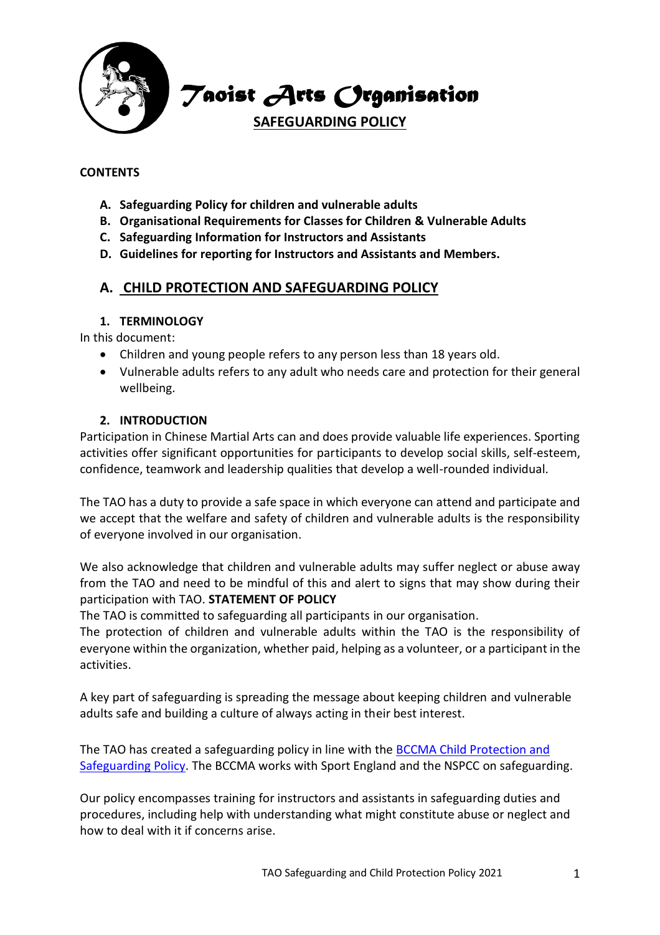

*Taoist Arts Organisation*

**SAFEGUARDING POLICY**

#### **CONTENTS**

- **A. Safeguarding Policy for children and vulnerable adults**
- **B. Organisational Requirements for Classes for Children & Vulnerable Adults**
- **C. Safeguarding Information for Instructors and Assistants**
- **D. Guidelines for reporting for Instructors and Assistants and Members.**

## **A. CHILD PROTECTION AND SAFEGUARDING POLICY**

#### **1. TERMINOLOGY**

In this document:

- Children and young people refers to any person less than 18 years old.
- Vulnerable adults refers to any adult who needs care and protection for their general wellbeing.

#### **2. INTRODUCTION**

Participation in Chinese Martial Arts can and does provide valuable life experiences. Sporting activities offer significant opportunities for participants to develop social skills, self-esteem, confidence, teamwork and leadership qualities that develop a well-rounded individual.

The TAO has a duty to provide a safe space in which everyone can attend and participate and we accept that the welfare and safety of children and vulnerable adults is the responsibility of everyone involved in our organisation.

We also acknowledge that children and vulnerable adults may suffer neglect or abuse away from the TAO and need to be mindful of this and alert to signs that may show during their participation with TAO. **STATEMENT OF POLICY**

The TAO is committed to safeguarding all participants in our organisation.

The protection of children and vulnerable adults within the TAO is the responsibility of everyone within the organization, whether paid, helping as a volunteer, or a participant in the activities.

A key part of safeguarding is spreading the message about keeping children and vulnerable adults safe and building a culture of always acting in their best interest.

The TAO has created a safeguarding policy in line with the BCCMA [Child Protection and](https://bccma.com/safeguarding/child-protection-and-safeguarding/)  [Safeguarding Policy.](https://bccma.com/safeguarding/child-protection-and-safeguarding/) The BCCMA works with Sport England and the NSPCC on safeguarding.

Our policy encompasses training for instructors and assistants in safeguarding duties and procedures, including help with understanding what might constitute abuse or neglect and how to deal with it if concerns arise.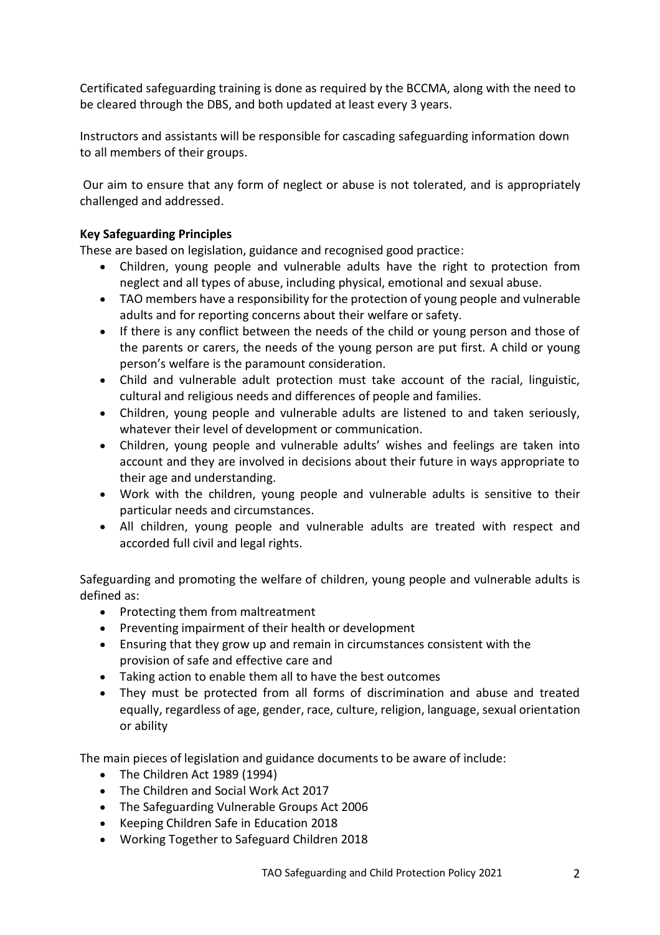Certificated safeguarding training is done as required by the BCCMA, along with the need to be cleared through the DBS, and both updated at least every 3 years.

Instructors and assistants will be responsible for cascading safeguarding information down to all members of their groups.

Our aim to ensure that any form of neglect or abuse is not tolerated, and is appropriately challenged and addressed.

## **Key Safeguarding Principles**

These are based on legislation, guidance and recognised good practice:

- Children, young people and vulnerable adults have the right to protection from neglect and all types of abuse, including physical, emotional and sexual abuse.
- TAO members have a responsibility for the protection of young people and vulnerable adults and for reporting concerns about their welfare or safety.
- If there is any conflict between the needs of the child or young person and those of the parents or carers, the needs of the young person are put first. A child or young person's welfare is the paramount consideration.
- Child and vulnerable adult protection must take account of the racial, linguistic, cultural and religious needs and differences of people and families.
- Children, young people and vulnerable adults are listened to and taken seriously, whatever their level of development or communication.
- Children, young people and vulnerable adults' wishes and feelings are taken into account and they are involved in decisions about their future in ways appropriate to their age and understanding.
- Work with the children, young people and vulnerable adults is sensitive to their particular needs and circumstances.
- All children, young people and vulnerable adults are treated with respect and accorded full civil and legal rights.

Safeguarding and promoting the welfare of children, young people and vulnerable adults is defined as:

- Protecting them from maltreatment
- Preventing impairment of their health or development
- Ensuring that they grow up and remain in circumstances consistent with the provision of safe and effective care and
- Taking action to enable them all to have the best outcomes
- They must be protected from all forms of discrimination and abuse and treated equally, regardless of age, gender, race, culture, religion, language, sexual orientation or ability

The main pieces of legislation and guidance documents to be aware of include:

- The Children Act 1989 (1994)
- The Children and Social Work Act 2017
- The Safeguarding Vulnerable Groups Act 2006
- Keeping Children Safe in Education 2018
- Working Together to Safeguard Children 2018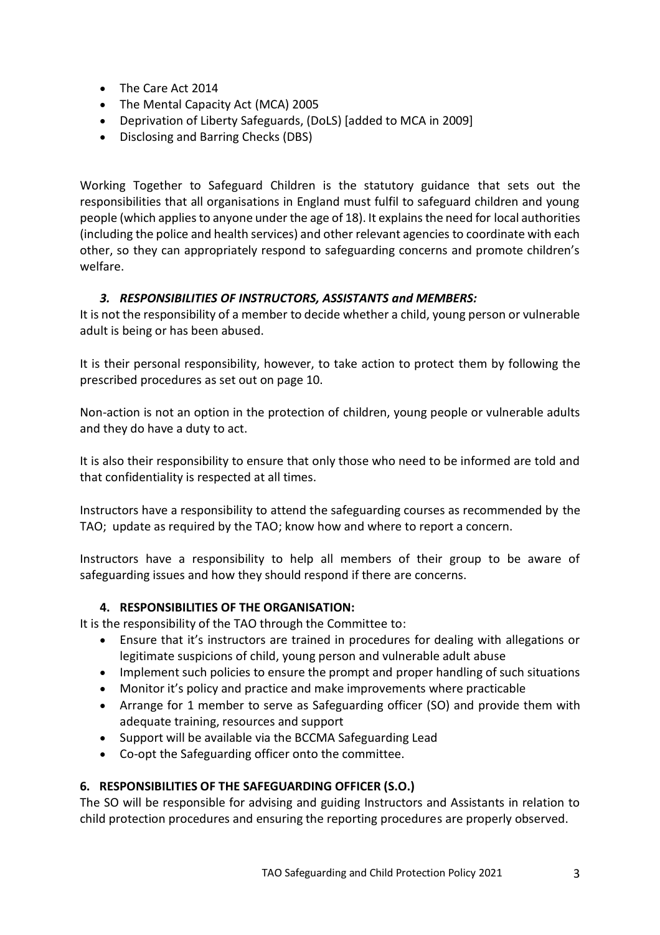- The Care Act 2014
- The Mental Capacity Act (MCA) 2005
- Deprivation of Liberty Safeguards, (DoLS) [added to MCA in 2009]
- Disclosing and Barring Checks (DBS)

Working Together to Safeguard Children is the statutory guidance that sets out the responsibilities that all organisations in England must fulfil to safeguard children and young people (which applies to anyone under the age of 18). It explains the need for local authorities (including the police and health services) and other relevant agencies to coordinate with each other, so they can appropriately respond to safeguarding concerns and promote children's welfare.

# *3. RESPONSIBILITIES OF INSTRUCTORS, ASSISTANTS and MEMBERS:*

It is not the responsibility of a member to decide whether a child, young person or vulnerable adult is being or has been abused.

It is their personal responsibility, however, to take action to protect them by following the prescribed procedures as set out on page 10.

Non-action is not an option in the protection of children, young people or vulnerable adults and they do have a duty to act.

It is also their responsibility to ensure that only those who need to be informed are told and that confidentiality is respected at all times.

Instructors have a responsibility to attend the safeguarding courses as recommended by the TAO; update as required by the TAO; know how and where to report a concern.

Instructors have a responsibility to help all members of their group to be aware of safeguarding issues and how they should respond if there are concerns.

## **4. RESPONSIBILITIES OF THE ORGANISATION:**

It is the responsibility of the TAO through the Committee to:

- Ensure that it's instructors are trained in procedures for dealing with allegations or legitimate suspicions of child, young person and vulnerable adult abuse
- Implement such policies to ensure the prompt and proper handling of such situations
- Monitor it's policy and practice and make improvements where practicable
- Arrange for 1 member to serve as Safeguarding officer (SO) and provide them with adequate training, resources and support
- Support will be available via the BCCMA Safeguarding Lead
- Co-opt the Safeguarding officer onto the committee.

# **6. RESPONSIBILITIES OF THE SAFEGUARDING OFFICER (S.O.)**

The SO will be responsible for advising and guiding Instructors and Assistants in relation to child protection procedures and ensuring the reporting procedures are properly observed.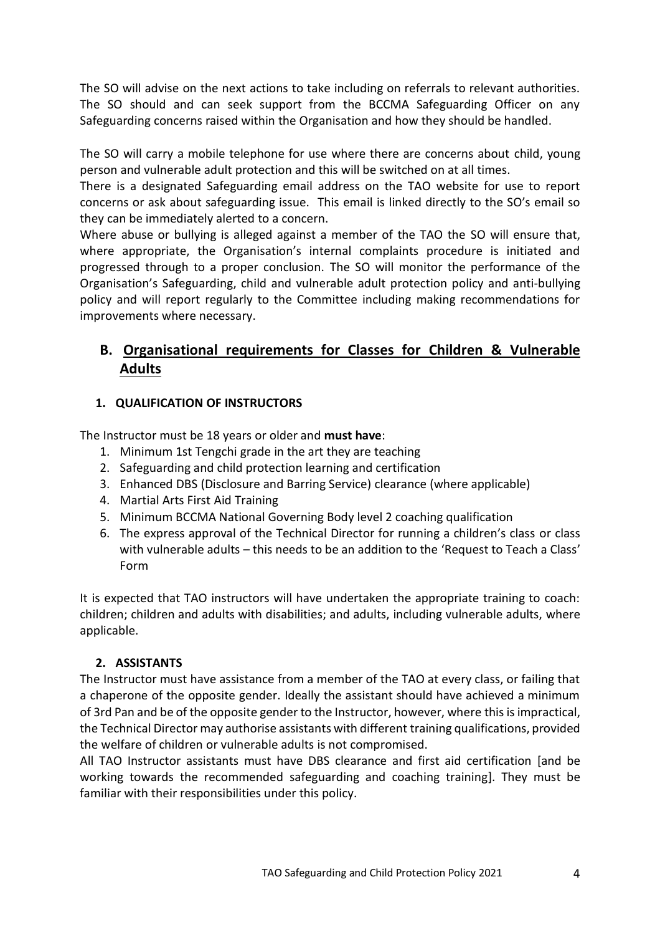The SO will advise on the next actions to take including on referrals to relevant authorities. The SO should and can seek support from the BCCMA Safeguarding Officer on any Safeguarding concerns raised within the Organisation and how they should be handled.

The SO will carry a mobile telephone for use where there are concerns about child, young person and vulnerable adult protection and this will be switched on at all times.

There is a designated Safeguarding email address on the TAO website for use to report concerns or ask about safeguarding issue. This email is linked directly to the SO's email so they can be immediately alerted to a concern.

Where abuse or bullying is alleged against a member of the TAO the SO will ensure that, where appropriate, the Organisation's internal complaints procedure is initiated and progressed through to a proper conclusion. The SO will monitor the performance of the Organisation's Safeguarding, child and vulnerable adult protection policy and anti-bullying policy and will report regularly to the Committee including making recommendations for improvements where necessary.

# **B. Organisational requirements for Classes for Children & Vulnerable Adults**

## **1. QUALIFICATION OF INSTRUCTORS**

The Instructor must be 18 years or older and **must have**:

- 1. Minimum 1st Tengchi grade in the art they are teaching
- 2. Safeguarding and child protection learning and certification
- 3. Enhanced DBS (Disclosure and Barring Service) clearance (where applicable)
- 4. Martial Arts First Aid Training
- 5. Minimum BCCMA National Governing Body level 2 coaching qualification
- 6. The express approval of the Technical Director for running a children's class or class with vulnerable adults – this needs to be an addition to the 'Request to Teach a Class' Form

It is expected that TAO instructors will have undertaken the appropriate training to coach: children; children and adults with disabilities; and adults, including vulnerable adults, where applicable.

## **2. ASSISTANTS**

The Instructor must have assistance from a member of the TAO at every class, or failing that a chaperone of the opposite gender. Ideally the assistant should have achieved a minimum of 3rd Pan and be of the opposite gender to the Instructor, however, where this is impractical, the Technical Director may authorise assistants with different training qualifications, provided the welfare of children or vulnerable adults is not compromised.

All TAO Instructor assistants must have DBS clearance and first aid certification [and be working towards the recommended safeguarding and coaching training]. They must be familiar with their responsibilities under this policy.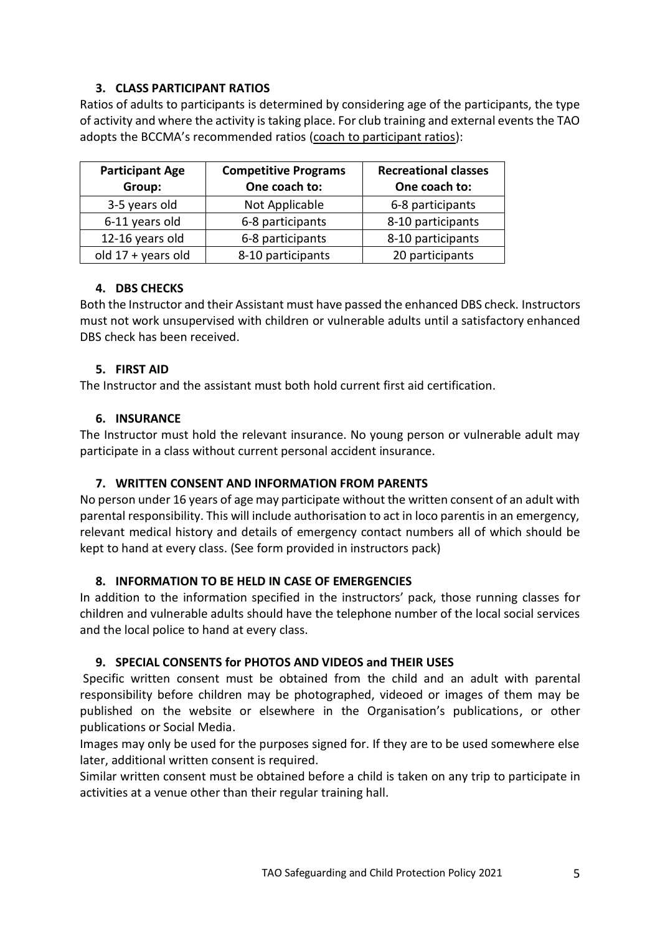## **3. CLASS PARTICIPANT RATIOS**

Ratios of adults to participants is determined by considering age of the participants, the type of activity and where the activity is taking place. For club training and external events the TAO adopts the BCCMA's recommended ratios [\(coach to participant ratios\)](https://bccma.com/wp-content/uploads/2015/06/Coach-to-participant-ratio-guidelines-2015.pdf):

| <b>Participant Age</b><br>Group: | <b>Competitive Programs</b><br>One coach to: | <b>Recreational classes</b><br>One coach to: |
|----------------------------------|----------------------------------------------|----------------------------------------------|
| 3-5 years old                    | Not Applicable                               | 6-8 participants                             |
| 6-11 years old                   | 6-8 participants                             | 8-10 participants                            |
| 12-16 years old                  | 6-8 participants                             | 8-10 participants                            |
| old $17 + \text{years}$ old      | 8-10 participants                            | 20 participants                              |

## **4. DBS CHECKS**

Both the Instructor and their Assistant must have passed the enhanced DBS check. Instructors must not work unsupervised with children or vulnerable adults until a satisfactory enhanced DBS check has been received.

## **5. FIRST AID**

The Instructor and the assistant must both hold current first aid certification.

## **6. INSURANCE**

The Instructor must hold the relevant insurance. No young person or vulnerable adult may participate in a class without current personal accident insurance.

## **7. WRITTEN CONSENT AND INFORMATION FROM PARENTS**

No person under 16 years of age may participate without the written consent of an adult with parental responsibility. This will include authorisation to act in loco parentis in an emergency, relevant medical history and details of emergency contact numbers all of which should be kept to hand at every class. (See form provided in instructors pack)

## **8. INFORMATION TO BE HELD IN CASE OF EMERGENCIES**

In addition to the information specified in the instructors' pack, those running classes for children and vulnerable adults should have the telephone number of the local social services and the local police to hand at every class.

# **9. SPECIAL CONSENTS for PHOTOS AND VIDEOS and THEIR USES**

Specific written consent must be obtained from the child and an adult with parental responsibility before children may be photographed, videoed or images of them may be published on the website or elsewhere in the Organisation's publications, or other publications or Social Media.

Images may only be used for the purposes signed for. If they are to be used somewhere else later, additional written consent is required.

Similar written consent must be obtained before a child is taken on any trip to participate in activities at a venue other than their regular training hall.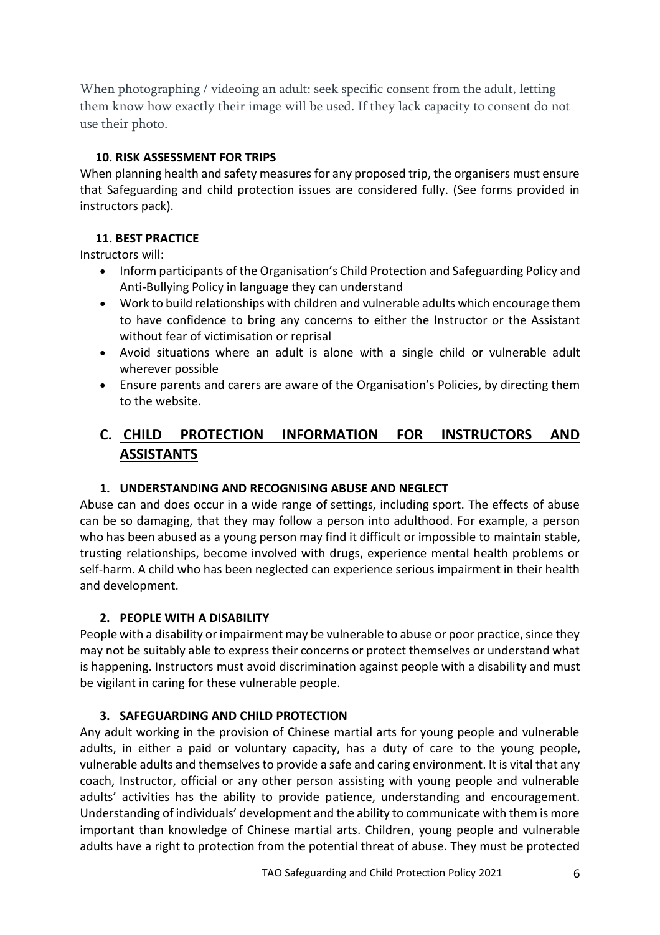When photographing / videoing an adult: seek specific consent from the adult, letting them know how exactly their image will be used. If they lack capacity to consent do not use their photo.

## **10. RISK ASSESSMENT FOR TRIPS**

When planning health and safety measures for any proposed trip, the organisers must ensure that Safeguarding and child protection issues are considered fully. (See forms provided in instructors pack).

## **11. BEST PRACTICE**

Instructors will:

- Inform participants of the Organisation's Child Protection and Safeguarding Policy and Anti-Bullying Policy in language they can understand
- Work to build relationships with children and vulnerable adults which encourage them to have confidence to bring any concerns to either the Instructor or the Assistant without fear of victimisation or reprisal
- Avoid situations where an adult is alone with a single child or vulnerable adult wherever possible
- Ensure parents and carers are aware of the Organisation's Policies, by directing them to the website.

# **C. CHILD PROTECTION INFORMATION FOR INSTRUCTORS AND ASSISTANTS**

## **1. UNDERSTANDING AND RECOGNISING ABUSE AND NEGLECT**

Abuse can and does occur in a wide range of settings, including sport. The effects of abuse can be so damaging, that they may follow a person into adulthood. For example, a person who has been abused as a young person may find it difficult or impossible to maintain stable, trusting relationships, become involved with drugs, experience mental health problems or self-harm. A child who has been neglected can experience serious impairment in their health and development.

## **2. PEOPLE WITH A DISABILITY**

People with a disability or impairment may be vulnerable to abuse or poor practice, since they may not be suitably able to express their concerns or protect themselves or understand what is happening. Instructors must avoid discrimination against people with a disability and must be vigilant in caring for these vulnerable people.

## **3. SAFEGUARDING AND CHILD PROTECTION**

Any adult working in the provision of Chinese martial arts for young people and vulnerable adults, in either a paid or voluntary capacity, has a duty of care to the young people, vulnerable adults and themselves to provide a safe and caring environment. It is vital that any coach, Instructor, official or any other person assisting with young people and vulnerable adults' activities has the ability to provide patience, understanding and encouragement. Understanding of individuals' development and the ability to communicate with them is more important than knowledge of Chinese martial arts. Children, young people and vulnerable adults have a right to protection from the potential threat of abuse. They must be protected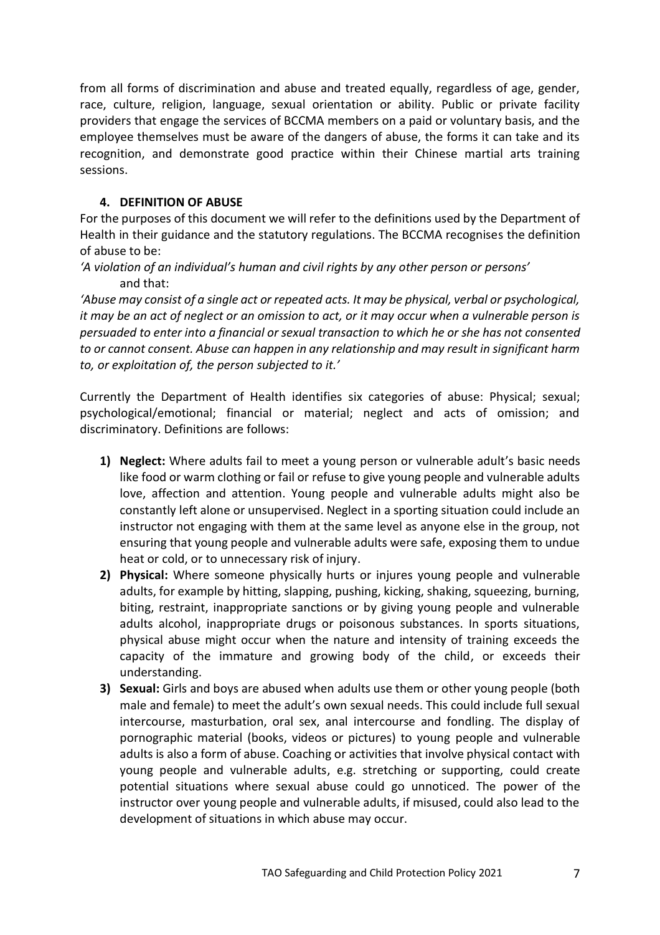from all forms of discrimination and abuse and treated equally, regardless of age, gender, race, culture, religion, language, sexual orientation or ability. Public or private facility providers that engage the services of BCCMA members on a paid or voluntary basis, and the employee themselves must be aware of the dangers of abuse, the forms it can take and its recognition, and demonstrate good practice within their Chinese martial arts training sessions.

#### **4. DEFINITION OF ABUSE**

For the purposes of this document we will refer to the definitions used by the Department of Health in their guidance and the statutory regulations. The BCCMA recognises the definition of abuse to be:

*'A violation of an individual's human and civil rights by any other person or persons'* and that:

*'Abuse may consist of a single act or repeated acts. It may be physical, verbal or psychological, it may be an act of neglect or an omission to act, or it may occur when a vulnerable person is persuaded to enter into a financial or sexual transaction to which he or she has not consented to or cannot consent. Abuse can happen in any relationship and may result in significant harm to, or exploitation of, the person subjected to it.'* 

Currently the Department of Health identifies six categories of abuse: Physical; sexual; psychological/emotional; financial or material; neglect and acts of omission; and discriminatory. Definitions are follows:

- **1) Neglect:** Where adults fail to meet a young person or vulnerable adult's basic needs like food or warm clothing or fail or refuse to give young people and vulnerable adults love, affection and attention. Young people and vulnerable adults might also be constantly left alone or unsupervised. Neglect in a sporting situation could include an instructor not engaging with them at the same level as anyone else in the group, not ensuring that young people and vulnerable adults were safe, exposing them to undue heat or cold, or to unnecessary risk of injury.
- **2) Physical:** Where someone physically hurts or injures young people and vulnerable adults, for example by hitting, slapping, pushing, kicking, shaking, squeezing, burning, biting, restraint, inappropriate sanctions or by giving young people and vulnerable adults alcohol, inappropriate drugs or poisonous substances. In sports situations, physical abuse might occur when the nature and intensity of training exceeds the capacity of the immature and growing body of the child, or exceeds their understanding.
- **3) Sexual:** Girls and boys are abused when adults use them or other young people (both male and female) to meet the adult's own sexual needs. This could include full sexual intercourse, masturbation, oral sex, anal intercourse and fondling. The display of pornographic material (books, videos or pictures) to young people and vulnerable adults is also a form of abuse. Coaching or activities that involve physical contact with young people and vulnerable adults, e.g. stretching or supporting, could create potential situations where sexual abuse could go unnoticed. The power of the instructor over young people and vulnerable adults, if misused, could also lead to the development of situations in which abuse may occur.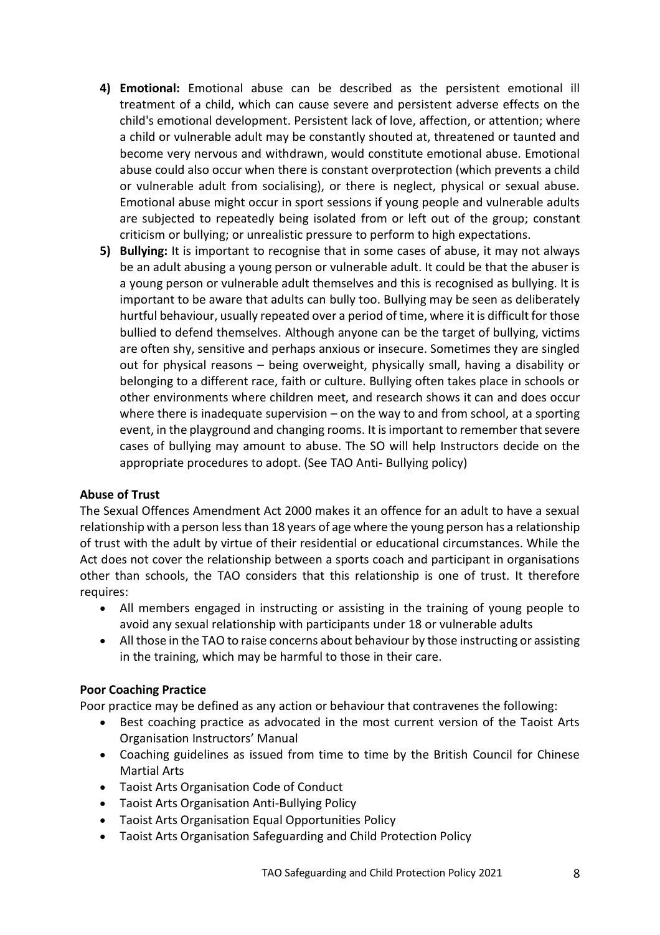- **4) Emotional:** Emotional abuse can be described as the persistent emotional ill treatment of a child, which can cause severe and persistent adverse effects on the child's emotional development. Persistent lack of love, affection, or attention; where a child or vulnerable adult may be constantly shouted at, threatened or taunted and become very nervous and withdrawn, would constitute emotional abuse. Emotional abuse could also occur when there is constant overprotection (which prevents a child or vulnerable adult from socialising), or there is neglect, physical or sexual abuse. Emotional abuse might occur in sport sessions if young people and vulnerable adults are subjected to repeatedly being isolated from or left out of the group; constant criticism or bullying; or unrealistic pressure to perform to high expectations.
- **5) Bullying:** It is important to recognise that in some cases of abuse, it may not always be an adult abusing a young person or vulnerable adult. It could be that the abuser is a young person or vulnerable adult themselves and this is recognised as bullying. It is important to be aware that adults can bully too. Bullying may be seen as deliberately hurtful behaviour, usually repeated over a period of time, where it is difficult for those bullied to defend themselves. Although anyone can be the target of bullying, victims are often shy, sensitive and perhaps anxious or insecure. Sometimes they are singled out for physical reasons – being overweight, physically small, having a disability or belonging to a different race, faith or culture. Bullying often takes place in schools or other environments where children meet, and research shows it can and does occur where there is inadequate supervision  $-$  on the way to and from school, at a sporting event, in the playground and changing rooms. It is important to remember that severe cases of bullying may amount to abuse. The SO will help Instructors decide on the appropriate procedures to adopt. (See TAO Anti- Bullying policy)

## **Abuse of Trust**

The Sexual Offences Amendment Act 2000 makes it an offence for an adult to have a sexual relationship with a person less than 18 years of age where the young person has a relationship of trust with the adult by virtue of their residential or educational circumstances. While the Act does not cover the relationship between a sports coach and participant in organisations other than schools, the TAO considers that this relationship is one of trust. It therefore requires:

- All members engaged in instructing or assisting in the training of young people to avoid any sexual relationship with participants under 18 or vulnerable adults
- All those in the TAO to raise concerns about behaviour by those instructing or assisting in the training, which may be harmful to those in their care.

#### **Poor Coaching Practice**

Poor practice may be defined as any action or behaviour that contravenes the following:

- Best coaching practice as advocated in the most current version of the Taoist Arts Organisation Instructors' Manual
- Coaching guidelines as issued from time to time by the British Council for Chinese Martial Arts
- Taoist Arts Organisation Code of Conduct
- Taoist Arts Organisation Anti-Bullying Policy
- Taoist Arts Organisation Equal Opportunities Policy
- Taoist Arts Organisation Safeguarding and Child Protection Policy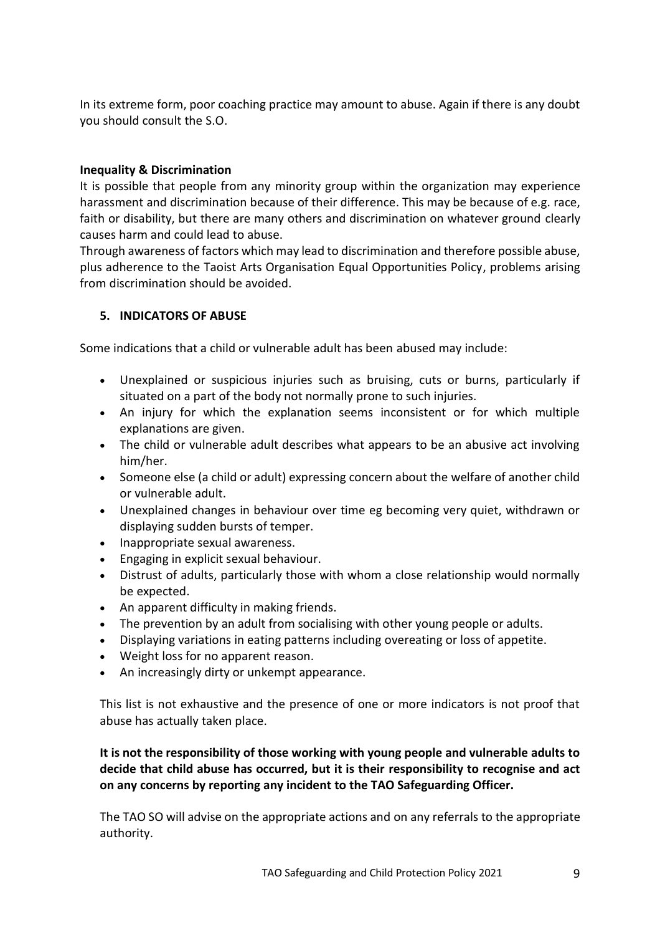In its extreme form, poor coaching practice may amount to abuse. Again if there is any doubt you should consult the S.O.

#### **Inequality & Discrimination**

It is possible that people from any minority group within the organization may experience harassment and discrimination because of their difference. This may be because of e.g. race, faith or disability, but there are many others and discrimination on whatever ground clearly causes harm and could lead to abuse.

Through awareness of factors which may lead to discrimination and therefore possible abuse, plus adherence to the Taoist Arts Organisation Equal Opportunities Policy, problems arising from discrimination should be avoided.

#### **5. INDICATORS OF ABUSE**

Some indications that a child or vulnerable adult has been abused may include:

- Unexplained or suspicious injuries such as bruising, cuts or burns, particularly if situated on a part of the body not normally prone to such injuries.
- An injury for which the explanation seems inconsistent or for which multiple explanations are given.
- The child or vulnerable adult describes what appears to be an abusive act involving him/her.
- Someone else (a child or adult) expressing concern about the welfare of another child or vulnerable adult.
- Unexplained changes in behaviour over time eg becoming very quiet, withdrawn or displaying sudden bursts of temper.
- Inappropriate sexual awareness.
- Engaging in explicit sexual behaviour.
- Distrust of adults, particularly those with whom a close relationship would normally be expected.
- An apparent difficulty in making friends.
- The prevention by an adult from socialising with other young people or adults.
- Displaying variations in eating patterns including overeating or loss of appetite.
- Weight loss for no apparent reason.
- An increasingly dirty or unkempt appearance.

This list is not exhaustive and the presence of one or more indicators is not proof that abuse has actually taken place.

**It is not the responsibility of those working with young people and vulnerable adults to decide that child abuse has occurred, but it is their responsibility to recognise and act on any concerns by reporting any incident to the TAO Safeguarding Officer.** 

The TAO SO will advise on the appropriate actions and on any referrals to the appropriate authority.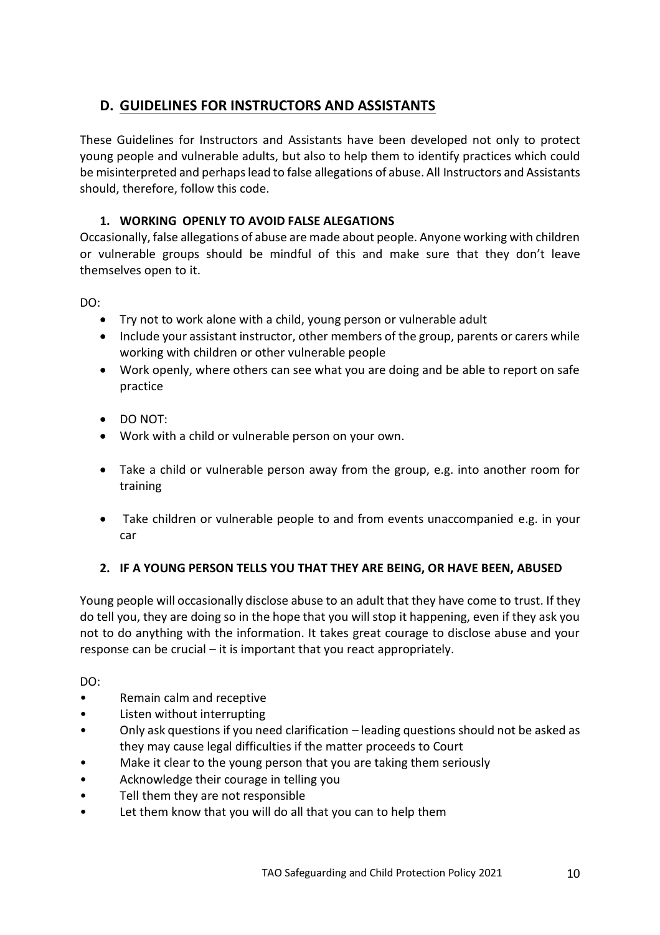# **D. GUIDELINES FOR INSTRUCTORS AND ASSISTANTS**

These Guidelines for Instructors and Assistants have been developed not only to protect young people and vulnerable adults, but also to help them to identify practices which could be misinterpreted and perhaps lead to false allegations of abuse. All Instructors and Assistants should, therefore, follow this code.

## **1. WORKING OPENLY TO AVOID FALSE ALEGATIONS**

Occasionally, false allegations of abuse are made about people. Anyone working with children or vulnerable groups should be mindful of this and make sure that they don't leave themselves open to it.

DO:

- Try not to work alone with a child, young person or vulnerable adult
- Include your assistant instructor, other members of the group, parents or carers while working with children or other vulnerable people
- Work openly, where others can see what you are doing and be able to report on safe practice
- DO NOT:
- Work with a child or vulnerable person on your own.
- Take a child or vulnerable person away from the group, e.g. into another room for training
- Take children or vulnerable people to and from events unaccompanied e.g. in your car

# **2. IF A YOUNG PERSON TELLS YOU THAT THEY ARE BEING, OR HAVE BEEN, ABUSED**

Young people will occasionally disclose abuse to an adult that they have come to trust. If they do tell you, they are doing so in the hope that you will stop it happening, even if they ask you not to do anything with the information. It takes great courage to disclose abuse and your response can be crucial – it is important that you react appropriately.

DO:

- Remain calm and receptive
- Listen without interrupting
- Only ask questions if you need clarification leading questions should not be asked as they may cause legal difficulties if the matter proceeds to Court
- Make it clear to the young person that you are taking them seriously
- Acknowledge their courage in telling you
- Tell them they are not responsible
- Let them know that you will do all that you can to help them